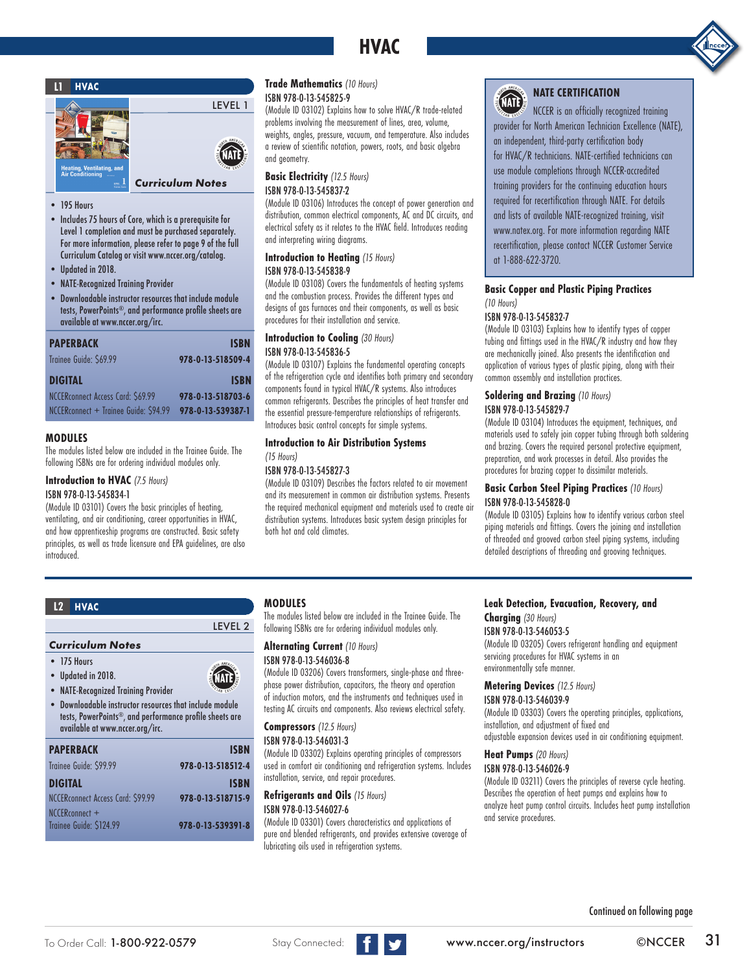# **HVAC**





- 195 Hours
- Includes 75 hours of Core, which is a prerequisite for Level 1 completion and must be purchased separately. For more information, please refer to page 9 of the full Curriculum Catalog or visit www.nccer.org/catalog.
- Updated in 2018.
- NATE-Recognized Training Provider
- Downloadable instructor resources that include module tests, PowerPoints®, and performance profile sheets are available at www.nccer.org/irc.

| <b>PAPERBACK</b>                      | <b>ISBN</b>       |
|---------------------------------------|-------------------|
| Trainee Guide: \$69.99                | 978-0-13-518509-4 |
| <b>DIGITAL</b>                        | <b>ISBN</b>       |
| NCCER connect Access Card: \$69.99    | 978-0-13-518703-6 |
| NCCERconnect + Trainee Guide: \$94.99 | 978-0-13-539387-1 |

#### **MODULES**

The modules listed below are included in the Trainee Guide. The following ISBNs are for ordering individual modules only.

**Introduction to HVAC** *(7.5 Hours)* ISBN 978-0-13-545834-1

(Module ID 03101) Covers the basic principles of heating, ventilating, and air conditioning, career opportunities in HVAC, and how apprenticeship programs are constructed. Basic safety principles, as well as trade licensure and EPA guidelines, are also introduced.

#### **Trade Mathematics** *(10 Hours)* ISBN 978-0-13-545825-9

(Module ID 03102) Explains how to solve HVAC/R trade-related problems involving the measurement of lines, area, volume, weights, angles, pressure, vacuum, and temperature. Also includes a review of scientific notation, powers, roots, and basic algebra and geometry.

#### **Basic Electricity** *(12.5 Hours)* ISBN 978-0-13-545837-2

(Module ID 03106) Introduces the concept of power generation and distribution, common electrical components, AC and DC circuits, and electrical safety as it relates to the HVAC field. Introduces reading and interpreting wiring diagrams.

### **Introduction to Heating** *(15 Hours)*

#### ISBN 978-0-13-545838-9

(Module ID 03108) Covers the fundamentals of heating systems and the combustion process. Provides the different types and designs of gas furnaces and their components, as well as basic procedures for their installation and service.

#### **Introduction to Cooling** *(30 Hours)* ISBN 978-0-13-545836-5

(Module ID 03107) Explains the fundamental operating concepts of the refrigeration cycle and identifies both primary and secondary components found in typical HVAC/R systems. Also introduces common refrigerants. Describes the principles of heat transfer and the essential pressure-temperature relationships of refrigerants. Introduces basic control concepts for simple systems.

#### **Introduction to Air Distribution Systems**  *(15 Hours)*

### ISBN 978-0-13-545827-3

(Module ID 03109) Describes the factors related to air movement and its measurement in common air distribution systems. Presents the required mechanical equipment and materials used to create air distribution systems. Introduces basic system design principles for both hot and cold climates.

# (NATE)

### **NATE CERTIFICATION**

NCCER is an officially recognized training provider for North American Technician Excellence (NATE), an independent, third-party certification body for HVAC/R technicians. NATE-certified technicians can use module completions through NCCER-accredited training providers for the continuing education hours required for recertification through NATE. For details and lists of available NATE-recognized training, visit www.natex.org. For more information regarding NATE recertification, please contact NCCER Customer Service at 1-888-622-3720.

#### **Basic Copper and Plastic Piping Practices**  *(10 Hours)*

### ISBN 978-0-13-545832-7

(Module ID 03103) Explains how to identify types of copper tubing and fittings used in the HVAC/R industry and how they are mechanically joined. Also presents the identification and application of various types of plastic piping, along with their common assembly and installation practices.

#### **Soldering and Brazing** *(10 Hours)* ISBN 978-0-13-545829-7

(Module ID 03104) Introduces the equipment, techniques, and

materials used to safely join copper tubing through both soldering and brazing. Covers the required personal protective equipment, preparation, and work processes in detail. Also provides the procedures for brazing copper to dissimilar materials.

#### **Basic Carbon Steel Piping Practices** *(10 Hours)* ISBN 978-0-13-545828-0

(Module ID 03105) Explains how to identify various carbon steel piping materials and fittings. Covers the joining and installation of threaded and grooved carbon steel piping systems, including detailed descriptions of threading and grooving techniques.

#### *Curriculum Notes*

- 175 Hours
- Updated in 2018.
- NATE-Recognized Training Provider

• Downloadable instructor resources that include module tests, PowerPoints®, and performance profile sheets are available at www.nccer.org/irc.

| <b>PAPERBACK</b>                  | <b>ISBN</b>       |
|-----------------------------------|-------------------|
| Trainee Guide: \$99.99            | 978-0-13-518512-4 |
| <b>DIGITAL</b>                    | <b>ISBN</b>       |
| NCCERconnect Access Card: \$99.99 | 978-0-13-518715-9 |
| NCCERconnect +                    |                   |
| Trainee Guide: \$124.99           | 978-0-13-539391-8 |
|                                   |                   |

### **MODULES**

LEVEL 2

**ATE** 

The modules listed below are included in the Trainee Guide. The following ISBNs are for ordering individual modules only.

### **Alternating Current** *(10 Hours)*

#### ISBN 978-0-13-546036-8

(Module ID 03206) Covers transformers, single-phase and threephase power distribution, capacitors, the theory and operation of induction motors, and the instruments and techniques used in testing AC circuits and components. Also reviews electrical safety.

### **Compressors** *(12.5 Hours)*

ISBN 978-0-13-546031-3 (Module ID 03302) Explains operating principles of compressors used in comfort air conditioning and refrigeration systems. Includes installation, service, and repair procedures.

**Refrigerants and Oils** *(15 Hours)* ISBN 978-0-13-546027-6

(Module ID 03301) Covers characteristics and applications of pure and blended refrigerants, and provides extensive coverage of lubricating oils used in refrigeration systems.

### **L2 HVAC Leak Detection, Evacuation, Recovery, and**

**Charging** *(30 Hours)* ISBN 978-0-13-546053-5

(Module ID 03205) Covers refrigerant handling and equipment servicing procedures for HVAC systems in an environmentally safe manner.

#### **Metering Devices** *(12.5 Hours)*

ISBN 978-0-13-546039-9 (Module ID 03303) Covers the operating principles, applications, installation, and adjustment of fixed and

adjustable expansion devices used in air conditioning equipment.

### **Heat Pumps** *(20 Hours)*

ISBN 978-0-13-546026-9

(Module ID 03211) Covers the principles of reverse cycle heating. Describes the operation of heat pumps and explains how to analyze heat pump control circuits. Includes heat pump installation and service procedures.

Continued on following page

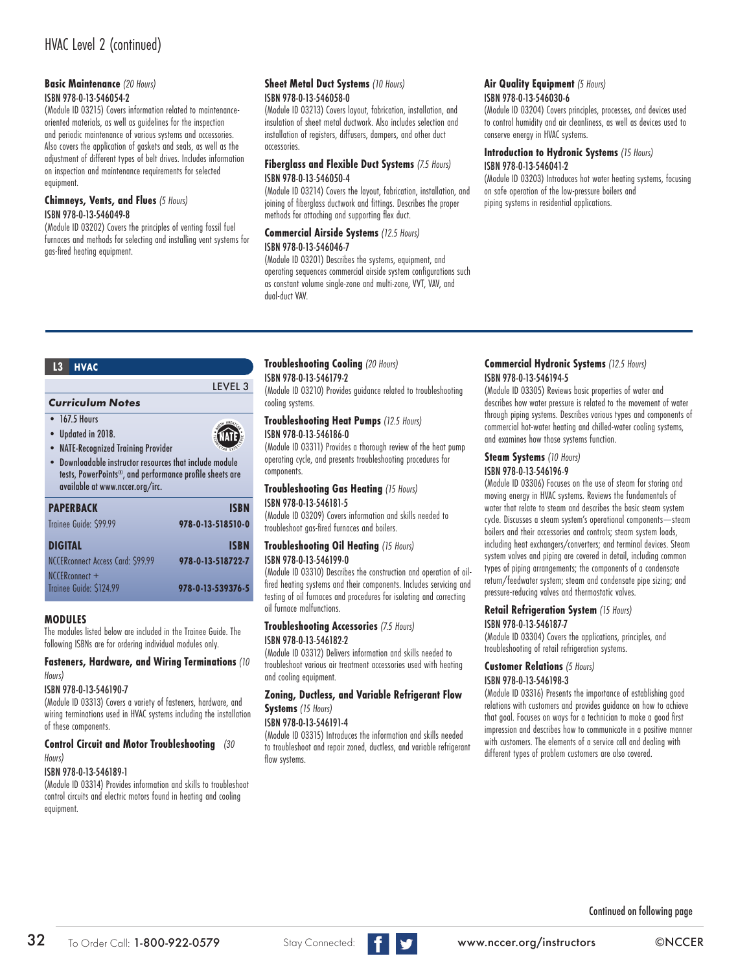### **Basic Maintenance** *(20 Hours)*

#### ISBN 978-0-13-546054-2

(Module ID 03215) Covers information related to maintenanceoriented materials, as well as guidelines for the inspection and periodic maintenance of various systems and accessories. Also covers the application of gaskets and seals, as well as the adjustment of different types of belt drives. Includes information on inspection and maintenance requirements for selected equipment.

#### **Chimneys, Vents, and Flues** *(5 Hours)* ISBN 978-0-13-546049-8

(Module ID 03202) Covers the principles of venting fossil fuel furnaces and methods for selecting and installing vent systems for gas-fired heating equipment.

#### **Sheet Metal Duct Systems** *(10 Hours)* ISBN 978-0-13-546058-0

(Module ID 03213) Covers layout, fabrication, installation, and insulation of sheet metal ductwork. Also includes selection and installation of registers, diffusers, dampers, and other duct accessories.

#### **Fiberglass and Flexible Duct Systems** *(7.5 Hours)* ISBN 978-0-13-546050-4

(Module ID 03214) Covers the layout, fabrication, installation, and joining of fiberglass ductwork and fittings. Describes the proper

### methods for attaching and supporting flex duct. **Commercial Airside Systems** *(12.5 Hours)*

ISBN 978-0-13-546046-7

LEVEL 3

**NATE** 

(Module ID 03201) Describes the systems, equipment, and operating sequences commercial airside system configurations such as constant volume single-zone and multi-zone, VVT, VAV, and dual-duct VAV.

#### **Air Quality Equipment** *(5 Hours)* ISBN 978-0-13-546030-6

(Module ID 03204) Covers principles, processes, and devices used

to control humidity and air cleanliness, as well as devices used to conserve energy in HVAC systems.

#### **Introduction to Hydronic Systems** *(15 Hours)* ISBN 978-0-13-546041-2

(Module ID 03203) Introduces hot water heating systems, focusing on safe operation of the low-pressure boilers and piping systems in residential applications.

#### **L3 HVAC**

## *Curriculum Notes*

- $\bullet$  167.5 Hours
- 
- Updated in 2018. • NATE-Recognized Training Provider
- Downloadable instructor resources that include module tests, PowerPoints®, and performance profile sheets are available at www.nccer.org/irc.

| <b>PAPERBACK</b>                          | ISBN              |
|-------------------------------------------|-------------------|
| Trainee Guide: \$99.99                    | 978-0-13-518510-0 |
| <b>DIGITAL</b>                            | <b>ISBN</b>       |
| NCCER connect Access Card: \$99.99        | 978-0-13-518722-7 |
| NCCERconnect +<br>Trainee Guide: \$124.99 |                   |
|                                           | 978-0-13-539376-5 |

#### **MODULES**

The modules listed below are included in the Trainee Guide. The following ISBNs are for ordering individual modules only.

#### **Fasteners, Hardware, and Wiring Terminations** *(10 Hours)*

#### ISBN 978-0-13-546190-7

(Module ID 03313) Covers a variety of fasteners, hardware, and wiring terminations used in HVAC systems including the installation of these components.

#### **Control Circuit and Motor Troubleshooting** *(30 Hours)*

#### ISBN 978-0-13-546189-1

(Module ID 03314) Provides information and skills to troubleshoot control circuits and electric motors found in heating and cooling equipment.

#### **Troubleshooting Cooling** *(20 Hours)* ISBN 978-0-13-546179-2

(Module ID 03210) Provides guidance related to troubleshooting cooling systems.

#### **Troubleshooting Heat Pumps** *(12.5 Hours)* ISBN 978-0-13-546186-0

(Module ID 03311) Provides a thorough review of the heat pump operating cycle, and presents troubleshooting procedures for components.

#### **Troubleshooting Gas Heating** *(15 Hours)* ISBN 978-0-13-546181-5

(Module ID 03209) Covers information and skills needed to troubleshoot gas-fired furnaces and boilers.

# **Troubleshooting Oil Heating** *(15 Hours)*

ISBN 978-0-13-546199-0

(Module ID 03310) Describes the construction and operation of oilfired heating systems and their components. Includes servicing and testing of oil furnaces and procedures for isolating and correcting oil furnace malfunctions.

#### **Troubleshooting Accessories** *(7.5 Hours)* ISBN 978-0-13-546182-2

(Module ID 03312) Delivers information and skills needed to troubleshoot various air treatment accessories used with heating and cooling equipment.

### **Zoning, Ductless, and Variable Refrigerant Flow Systems** *(15 Hours)*

#### ISBN 978-0-13-546191-4

(Module ID 03315) Introduces the information and skills needed to troubleshoot and repair zoned, ductless, and variable refrigerant flow systems.

#### **Commercial Hydronic Systems** *(12.5 Hours)* ISBN 978-0-13-546194-5

(Module ID 03305) Reviews basic properties of water and describes how water pressure is related to the movement of water through piping systems. Describes various types and components of commercial hot-water heating and chilled-water cooling systems, and examines how those systems function.

#### **Steam Systems** *(10 Hours)* ISBN 978-0-13-546196-9

(Module ID 03306) Focuses on the use of steam for storing and moving energy in HVAC systems. Reviews the fundamentals of water that relate to steam and describes the basic steam system cycle. Discusses a steam system's operational components—steam boilers and their accessories and controls; steam system loads, including heat exchangers/converters; and terminal devices. Steam system valves and piping are covered in detail, including common types of piping arrangements; the components of a condensate return/feedwater system; steam and condensate pipe sizing; and pressure-reducing valves and thermostatic valves.

#### **Retail Refrigeration System** *(15 Hours)*

#### ISBN 978-0-13-546187-7

(Module ID 03304) Covers the applications, principles, and troubleshooting of retail refrigeration systems.

### **Customer Relations** *(5 Hours)*

#### ISBN 978-0-13-546198-3

(Module ID 03316) Presents the importance of establishing good relations with customers and provides guidance on how to achieve that goal. Focuses on ways for a technician to make a good first impression and describes how to communicate in a positive manner with customers. The elements of a service call and dealing with different types of problem customers are also covered.

Continued on following page